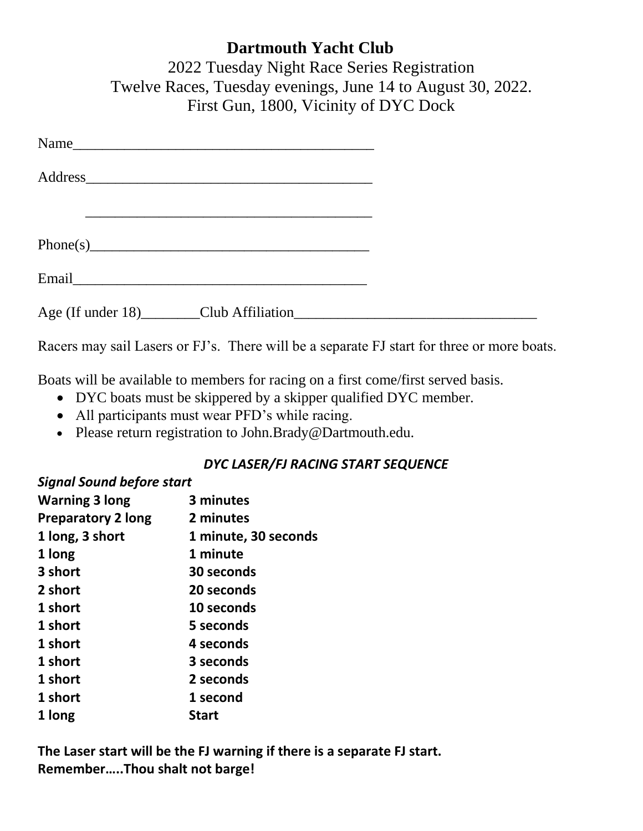| <b>Dartmouth Yacht Club</b>                                 |
|-------------------------------------------------------------|
| 2022 Tuesday Night Race Series Registration                 |
| Twelve Races, Tuesday evenings, June 14 to August 30, 2022. |
| First Gun, 1800, Vicinity of DYC Dock                       |

| $Phone(s)$ and $f(0)$ and $f(1)$ and $f(2)$ and $f(3)$ and $f(4)$ and $f(5)$ and $f(6)$ and $f(7)$ and $f(8)$ and $f(9)$ and $f(1)$ and $f(1)$ and $f(1)$ and $f(2)$ and $f(3)$ and $f(4)$ and $f(5)$ and $f(6)$ and $f(7)$ and $f$ |  |
|-------------------------------------------------------------------------------------------------------------------------------------------------------------------------------------------------------------------------------------|--|
|                                                                                                                                                                                                                                     |  |
|                                                                                                                                                                                                                                     |  |

Racers may sail Lasers or FJ's. There will be a separate FJ start for three or more boats.

Boats will be available to members for racing on a first come/first served basis.

- DYC boats must be skippered by a skipper qualified DYC member.
- All participants must wear PFD's while racing.
- Please return registration to John.Brady@Dartmouth.edu.

## *DYC LASER/FJ RACING START SEQUENCE*

## *Signal Sound before start*

| <b>Warning 3 long</b>     | 3 minutes            |
|---------------------------|----------------------|
| <b>Preparatory 2 long</b> | 2 minutes            |
| 1 long, 3 short           | 1 minute, 30 seconds |
| 1 long                    | 1 minute             |
| 3 short                   | 30 seconds           |
| 2 short                   | 20 seconds           |
| 1 short                   | 10 seconds           |
| 1 short                   | 5 seconds            |
| 1 short                   | 4 seconds            |
| 1 short                   | 3 seconds            |
| 1 short                   | 2 seconds            |
| 1 short                   | 1 second             |
| 1 long                    | Start                |

**The Laser start will be the FJ warning if there is a separate FJ start. Remember…..Thou shalt not barge!**